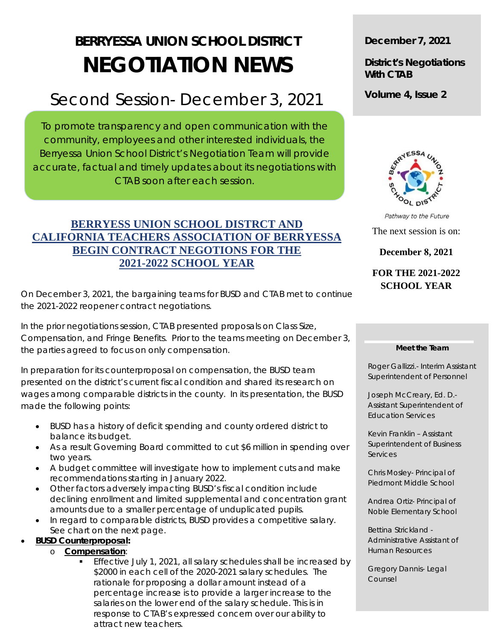# **BERRYESSA UNION SCHOOL DISTRICT NEGOTIATION NEWS**

## Second Session- December 3, 2021

To promote transparency and open communication with the community, employees and other interested individuals, the Berryessa Union School District's Negotiation Team will provide accurate, factual and timely updates about its negotiations with CTAB soon after each session.

## **BERRYESS UNION SCHOOL DISTRCT AND CALIFORNIA TEACHERS ASSOCIATION OF BERRYESSA BEGIN CONTRACT NEGOTIONS FOR THE 2021-2022 SCHOOL YEAR**

On December 3, 2021, the bargaining teams for BUSD and CTAB met to continue the 2021-2022 reopener contract negotiations.

In the prior negotiations session, CTAB presented proposals on Class Size, Compensation, and Fringe Benefits. Prior to the teams meeting on December 3, the parties agreed to focus on only compensation.

In preparation for its counterproposal on compensation, the BUSD team presented on the district's current fiscal condition and shared its research on wages among comparable districts in the county. In its presentation, the BUSD made the following points:

- BUSD has a history of deficit spending and county ordered district to balance its budget.
- As a result Governing Board committed to cut \$6 million in spending over two years.
- A budget committee will investigate how to implement cuts and make recommendations starting in January 2022.
- Other factors adversely impacting BUSD's fiscal condition include declining enrollment and limited supplemental and concentration grant amounts due to a smaller percentage of unduplicated pupils.
- In regard to comparable districts, BUSD provides a competitive salary. See chart on the next page.

### • **BUSD Counterproposal:**

- o **Compensation**:
	- Effective July 1, 2021, all salary schedules shall be increased by \$2000 in each cell of the 2020-2021 salary schedules. The rationale for proposing a dollar amount instead of a percentage increase is to provide a larger increase to the salaries on the lower end of the salary schedule. This is in response to CTAB's expressed concern over our ability to attract new teachers.

## **December 7, 2021**

**District's Negotiations With CTAB** 

**Volume 4, Issue 2** 



Pathway to the Future The next session is on: **December 8, 2021** 

## **FOR THE 2021-2022 SCHOOL YEAR**

#### **Meet the Team**

Roger Gallizzi.- Interim Assistant Superintendent of Personnel

Joseph McCreary, Ed. D.- Assistant Superintendent of Education Services

Kevin Franklin – Assistant Superintendent of Business Services

Chris Mosley- Principal of Piedmont Middle School

Andrea Ortiz- Principal of Noble Elementary School

Bettina Strickland - Administrative Assistant of Human Resources

Gregory Dannis- Legal Counsel